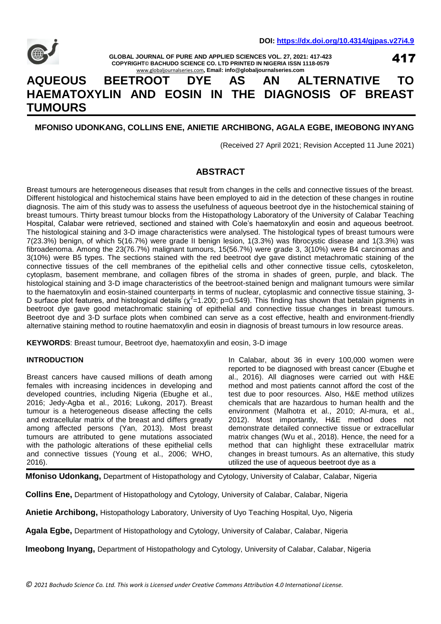

**GLOBAL JOURNAL OF PURE AND APPLIED SCIENCES VOL. 27, 2021: 417-423 COPYRIGHT© BACHUDO SCIENCE CO. LTD PRINTED IN NIGERIA ISSN 1118-0579** [www.globaljournalseries.com](http://www.globaljournalseries.com/)**, Email: info@globaljournalseries.com**

417

# **AQUEOUS BEETROOT DYE AS AN ALTERNATIVE TO HAEMATOXYLIN AND EOSIN IN THE DIAGNOSIS OF BREAST TUMOURS**

# **MFONISO UDONKANG, COLLINS ENE, ANIETIE ARCHIBONG, AGALA EGBE, IMEOBONG INYANG**

(Received 27 April 2021; Revision Accepted 11 June 2021)

# **ABSTRACT**

Breast tumours are heterogeneous diseases that result from changes in the cells and connective tissues of the breast. Different histological and histochemical stains have been employed to aid in the detection of these changes in routine diagnosis. The aim of this study was to assess the usefulness of aqueous beetroot dye in the histochemical staining of breast tumours. Thirty breast tumour blocks from the Histopathology Laboratory of the University of Calabar Teaching Hospital, Calabar were retrieved, sectioned and stained with Cole's haematoxylin and eosin and aqueous beetroot. The histological staining and 3-D image characteristics were analysed. The histological types of breast tumours were 7(23.3%) benign, of which 5(16.7%) were grade II benign lesion, 1(3.3%) was fibrocystic disease and 1(3.3%) was fibroadenoma. Among the 23(76.7%) malignant tumours, 15(56.7%) were grade 3, 3(10%) were B4 carcinomas and 3(10%) were B5 types. The sections stained with the red beetroot dye gave distinct metachromatic staining of the connective tissues of the cell membranes of the epithelial cells and other connective tissue cells, cytoskeleton, cytoplasm, basement membrane, and collagen fibres of the stroma in shades of green, purple, and black. The histological staining and 3-D image characteristics of the beetroot-stained benign and malignant tumours were similar to the haematoxylin and eosin-stained counterparts in terms of nuclear, cytoplasmic and connective tissue staining, 3- D surface plot features, and histological details ( $\chi^2$ =1.200; p=0.549). This finding has shown that betalain pigments in beetroot dye gave good metachromatic staining of epithelial and connective tissue changes in breast tumours. Beetroot dye and 3-D surface plots when combined can serve as a cost effective, health and environment-friendly alternative staining method to routine haematoxylin and eosin in diagnosis of breast tumours in low resource areas.

**KEYWORDS**: Breast tumour, Beetroot dye, haematoxylin and eosin, 3-D image

# **INTRODUCTION**

Breast cancers have caused millions of death among females with increasing incidences in developing and developed countries, including Nigeria (Ebughe et al., 2016; Jedy-Agba et al., 2016; Lukong, 2017). Breast tumour is a heterogeneous disease affecting the cells and extracellular matrix of the breast and differs greatly among affected persons (Yan, 2013). Most breast tumours are attributed to gene mutations associated with the pathologic alterations of these epithelial cells and connective tissues (Young et al., 2006; WHO, 2016).

In Calabar, about 36 in every 100,000 women were reported to be diagnosed with breast cancer (Ebughe et al., 2016). All diagnoses were carried out with H&E method and most patients cannot afford the cost of the test due to poor resources. Also, H&E method utilizes chemicals that are hazardous to human health and the environment (Malhotra et al., 2010; Al-mura, et al., 2012). Most importantly, H&E method does not demonstrate detailed connective tissue or extracellular matrix changes (Wu et al., 2018). Hence, the need for a method that can highlight these extracellular matrix changes in breast tumours. As an alternative, this study utilized the use of aqueous beetroot dye as a

**Mfoniso Udonkang,** Department of Histopathology and Cytology, University of Calabar, Calabar, Nigeria

**Collins Ene,** Department of Histopathology and Cytology, University of Calabar, Calabar, Nigeria

**Anietie Archibong,** Histopathology Laboratory, University of Uyo Teaching Hospital, Uyo, Nigeria

**Agala Egbe,** Department of Histopathology and Cytology, University of Calabar, Calabar, Nigeria

**Imeobong Inyang,** Department of Histopathology and Cytology, University of Calabar, Calabar, Nigeria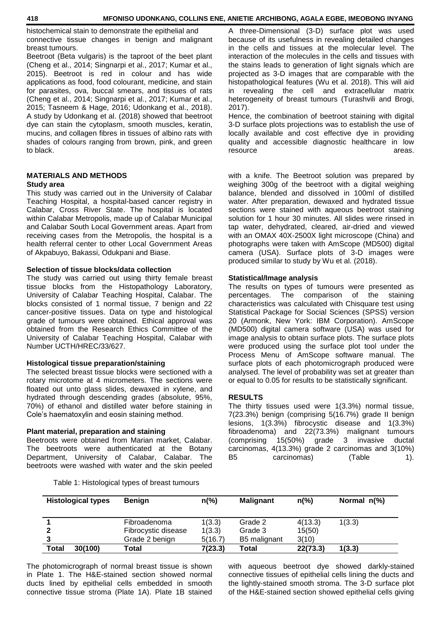histochemical stain to demonstrate the epithelial and connective tissue changes in benign and malignant breast tumours.

Beetroot (Beta vulgaris) is the taproot of the beet plant (Cheng et al., 2014; Singnarpi et al., 2017; Kumar et al., 2015). Beetroot is red in colour and has wide applications as food, food colourant, medicine, and stain for parasites, ova, buccal smears, and tissues of rats (Cheng et al., 2014; Singnarpi et al., 2017; Kumar et al., 2015; Tasneem & Hage, 2016; Udonkang et al., 2018). A study by Udonkang et al. (2018) showed that beetroot dye can stain the cytoplasm, smooth muscles, keratin, mucins, and collagen fibres in tissues of albino rats with shades of colours ranging from brown, pink, and green to black.

# **MATERIALS AND METHODS Study area**

This study was carried out in the University of Calabar Teaching Hospital, a hospital-based cancer registry in Calabar, Cross River State. The hospital is located within Calabar Metropolis, made up of Calabar Municipal and Calabar South Local Government areas. Apart from receiving cases from the Metropolis, the hospital is a health referral center to other Local Government Areas of Akpabuyo, Bakassi, Odukpani and Biase.

#### **Selection of tissue blocks/data collection**

The study was carried out using thirty female breast tissue blocks from the Histopathology Laboratory, University of Calabar Teaching Hospital, Calabar. The blocks consisted of 1 normal tissue, 7 benign and 22 cancer-positive tissues. Data on type and histological grade of tumours were obtained. Ethical approval was obtained from the Research Ethics Committee of the University of Calabar Teaching Hospital, Calabar with Number UCTH/HREC/33/627.

# **Histological tissue preparation/staining**

The selected breast tissue blocks were sectioned with a rotary microtome at 4 micrometers. The sections were floated out unto glass slides, dewaxed in xylene, and hydrated through descending grades (absolute, 95%, 70%) of ethanol and distilled water before staining in Cole's haematoxylin and eosin staining method.

# **Plant material, preparation and staining**

Beetroots were obtained from Marian market, Calabar. The beetroots were authenticated at the Botany Department, University of Calabar, Calabar. The beetroots were washed with water and the skin peeled

Table 1: Histological types of breast tumours

A three-Dimensional (3-D) surface plot was used because of its usefulness in revealing detailed changes in the cells and tissues at the molecular level. The interaction of the molecules in the cells and tissues with the stains leads to generation of light signals which are projected as 3-D images that are comparable with the histopathological features (Wu et al. 2018). This will aid in revealing the cell and extracellular matrix heterogeneity of breast tumours (Turashvili and Brogi, 2017).

Hence, the combination of beetroot staining with digital 3-D surface plots projections was to establish the use of locally available and cost effective dye in providing quality and accessible diagnostic healthcare in low resource areas.

with a knife. The Beetroot solution was prepared by weighing 300g of the beetroot with a digital weighing balance, blended and dissolved in 100ml of distilled water. After preparation, dewaxed and hydrated tissue sections were stained with aqueous beetroot staining solution for 1 hour 30 minutes. All slides were rinsed in tap water, dehydrated, cleared, air-dried and viewed with an OMAX 40X-2500X light microscope (China) and photographs were taken with AmScope (MD500) digital camera (USA). Surface plots of 3-D images were produced similar to study by Wu et al. (2018).

#### **Statistical/Image analysis**

The results on types of tumours were presented as percentages. The comparison of the staining characteristics was calculated with Chisquare test using Statistical Package for Social Sciences (SPSS) version 20 (Armonk, New York: IBM Corporation). AmScope (MD500) digital camera software (USA) was used for image analysis to obtain surface plots. The surface plots were produced using the surface plot tool under the Process Menu of AmScope software manual. The surface plots of each photomicrograph produced were analysed. The level of probability was set at greater than or equal to 0.05 for results to be statistically significant.

# **RESULTS**

The thirty tissues used were 1(3.3%) normal tissue, 7(23.3%) benign (comprising 5(16.7%) grade II benign lesions, 1(3.3%) fibrocystic disease and 1(3.3%) fibroadenoma) and 22(73.3%) malignant tumours (comprising 15(50%) grade 3 invasive ductal carcinomas, 4(13.3%) grade 2 carcinomas and 3(10%) B5 carcinomas) (Table 1).

| <b>Histological types</b> | <b>Benign</b>                       | $n\frac{6}{6}$   | <b>Malignant</b>   | $n\frac{9}{6}$    | Normal $n\ll 0$ |  |
|---------------------------|-------------------------------------|------------------|--------------------|-------------------|-----------------|--|
|                           | Fibroadenoma<br>Fibrocystic disease | 1(3.3)<br>1(3.3) | Grade 2<br>Grade 3 | 4(13.3)<br>15(50) | 1(3.3)          |  |
|                           | Grade 2 benign                      | 5(16.7)          | B5 malignant       | 3(10)             |                 |  |
| <b>Total</b><br>30(100)   | Total                               | 7(23.3)          | Total              | 22(73.3)          | 1(3.3)          |  |

The photomicrograph of normal breast tissue is shown in Plate 1. The H&E-stained section showed normal ducts lined by epithelial cells embedded in smooth connective tissue stroma (Plate 1A). Plate 1B stained

with aqueous beetroot dye showed darkly-stained connective tissues of epithelial cells lining the ducts and the lightly-stained smooth stroma. The 3-D surface plot of the H&E-stained section showed epithelial cells giving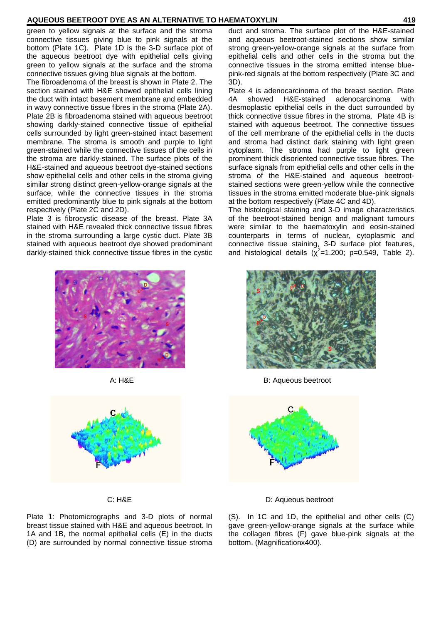green to yellow signals at the surface and the stroma connective tissues giving blue to pink signals at the bottom (Plate 1C). Plate 1D is the 3-D surface plot of the aqueous beetroot dye with epithelial cells giving green to yellow signals at the surface and the stroma connective tissues giving blue signals at the bottom.

The fibroadenoma of the breast is shown in Plate 2. The section stained with H&E showed epithelial cells lining the duct with intact basement membrane and embedded in wavy connective tissue fibres in the stroma (Plate 2A). Plate 2B is fibroadenoma stained with aqueous beetroot showing darkly-stained connective tissue of epithelial cells surrounded by light green-stained intact basement membrane. The stroma is smooth and purple to light green-stained while the connective tissues of the cells in the stroma are darkly-stained. The surface plots of the H&E-stained and aqueous beetroot dye-stained sections show epithelial cells and other cells in the stroma giving similar strong distinct green-yellow-orange signals at the surface, while the connective tissues in the stroma emitted predominantly blue to pink signals at the bottom respectively (Plate 2C and 2D).

Plate 3 is fibrocystic disease of the breast. Plate 3A stained with H&E revealed thick connective tissue fibres in the stroma surrounding a large cystic duct. Plate 3B stained with aqueous beetroot dye showed predominant darkly-stained thick connective tissue fibres in the cystic

duct and stroma. The surface plot of the H&E-stained and aqueous beetroot-stained sections show similar strong green-yellow-orange signals at the surface from epithelial cells and other cells in the stroma but the connective tissues in the stroma emitted intense bluepink-red signals at the bottom respectively (Plate 3C and 3D).

Plate 4 is adenocarcinoma of the breast section. Plate 4A showed H&E-stained adenocarcinoma with desmoplastic epithelial cells in the duct surrounded by thick connective tissue fibres in the stroma. Plate 4B is stained with aqueous beetroot. The connective tissues of the cell membrane of the epithelial cells in the ducts and stroma had distinct dark staining with light green cytoplasm. The stroma had purple to light green prominent thick disoriented connective tissue fibres. The surface signals from epithelial cells and other cells in the stroma of the H&E-stained and aqueous beetrootstained sections were green-yellow while the connective tissues in the stroma emitted moderate blue-pink signals at the bottom respectively (Plate 4C and 4D).

The histological staining and 3-D image characteristics of the beetroot-stained benign and malignant tumours were similar to the haematoxylin and eosin-stained counterparts in terms of nuclear, cytoplasmic and connective tissue staining, 3-D surface plot features, and histological details  $(\chi^2=1.200; \text{ p}=0.549, \text{ Table 2}).$ 



A: H&E B: Aqueous beetroot



C: H&E D: Aqueous beetroot

(S). In 1C and 1D, the epithelial and other cells (C) gave green-yellow-orange signals at the surface while the collagen fibres (F) gave blue-pink signals at the bottom. (Magnificationx400).





Plate 1: Photomicrographs and 3-D plots of normal breast tissue stained with H&E and aqueous beetroot. In 1A and 1B, the normal epithelial cells (E) in the ducts (D) are surrounded by normal connective tissue stroma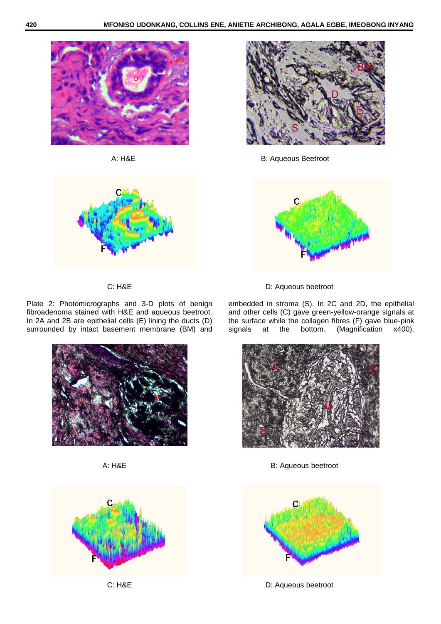



Plate 2: Photomicrographs and 3-D plots of benign fibroadenoma stained with H&E and aqueous beetroot. In 2A and 2B are epithelial cells (E) lining the ducts (D) surrounded by intact basement membrane (BM) and







A: H&E B: Aqueous Beetroot



C: H&E D: Aqueous beetroot

embedded in stroma (S). In 2C and 2D, the epithelial and other cells (C) gave green-yellow-orange signals at the surface while the collagen fibres (F) gave blue-pink<br>signals at the bottom. (Magnification x400). at the bottom.



A: H&E B: Aqueous beetroot



C: H&E D: Aqueous beetroot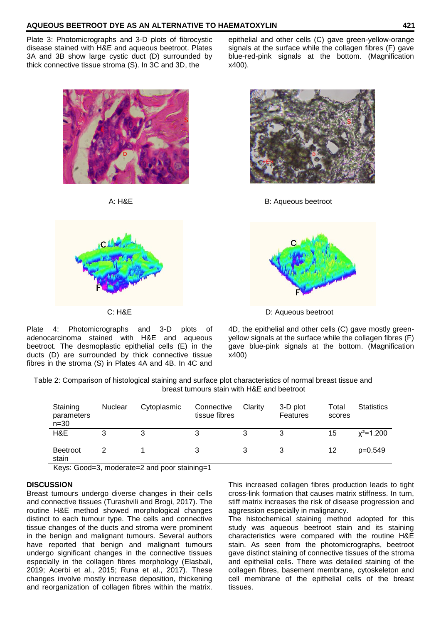Plate 3: Photomicrographs and 3-D plots of fibrocystic disease stained with H&E and aqueous beetroot. Plates 3A and 3B show large cystic duct (D) surrounded by thick connective tissue stroma (S). In 3C and 3D, the



Plate 4: Photomicrographs and 3-D plots of adenocarcinoma stained with H&E and aqueous beetroot. The desmoplastic epithelial cells (E) in the ducts (D) are surrounded by thick connective tissue fibres in the stroma (S) in Plates 4A and 4B. In 4C and

epithelial and other cells (C) gave green-yellow-orange signals at the surface while the collagen fibres (F) gave blue-red-pink signals at the bottom. (Magnification x400).



A: H&E B: Aqueous beetroot



C: H&E D: Aqueous beetroot

4D, the epithelial and other cells (C) gave mostly greenyellow signals at the surface while the collagen fibres (F) gave blue-pink signals at the bottom. (Magnification x400)

Table 2: Comparison of histological staining and surface plot characteristics of normal breast tissue and breast tumours stain with H&E and beetroot

| Staining<br>parameters<br>$n = 30$ | <b>Nuclear</b> | Cytoplasmic | Connective<br>tissue fibres | Clarity | 3-D plot<br>Features | Total<br>scores | <b>Statistics</b> |
|------------------------------------|----------------|-------------|-----------------------------|---------|----------------------|-----------------|-------------------|
| H&E                                |                | 3           |                             | 3       | 3                    | 15              | $x^2$ =1.200      |
| <b>Beetroot</b><br>stain           |                |             | 3                           |         |                      | 12              | p=0.549           |

Keys: Good=3, moderate=2 and poor staining=1

# **DISCUSSION**

Breast tumours undergo diverse changes in their cells and connective tissues (Turashvili and Brogi, 2017). The routine H&E method showed morphological changes distinct to each tumour type. The cells and connective tissue changes of the ducts and stroma were prominent in the benign and malignant tumours. Several authors have reported that benign and malignant tumours undergo significant changes in the connective tissues especially in the collagen fibres morphology (Elasbali, 2019; Acerbi et al., 2015; Runa et al., 2017). These changes involve mostly increase deposition, thickening and reorganization of collagen fibres within the matrix.

This increased collagen fibres production leads to tight cross-link formation that causes matrix stiffness. In turn, stiff matrix increases the risk of disease progression and aggression especially in malignancy.

The histochemical staining method adopted for this study was aqueous beetroot stain and its staining characteristics were compared with the routine H&E stain. As seen from the photomicrographs, beetroot gave distinct staining of connective tissues of the stroma and epithelial cells. There was detailed staining of the collagen fibres, basement membrane, cytoskeleton and cell membrane of the epithelial cells of the breast tissues.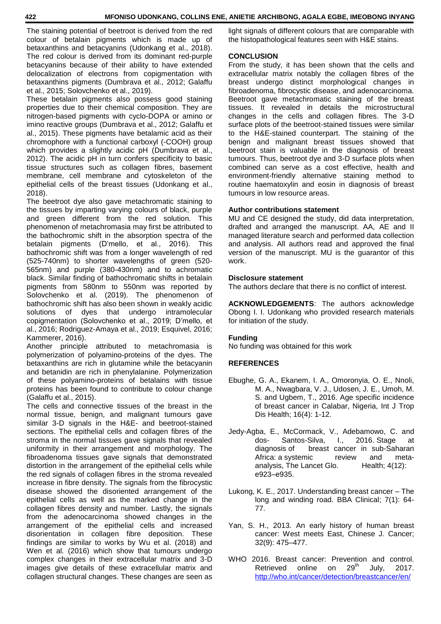The staining potential of beetroot is derived from the red colour of betalain pigments which is made up of betaxanthins and betacyanins (Udonkang et al., 2018). The red colour is derived from its dominant red-purple betacyanins because of their ability to have extended delocalization of electrons from copigmentation with betaxanthins pigments (Dumbrava et al., 2012; Galaffu et al., 2015; Solovchenko et al., 2019).

These betalain pigments also possess good staining properties due to their chemical composition. They are nitrogen-based pigments with cyclo-DOPA or amino or imino reactive groups (Dumbrava et al., 2012; Galaffu et al., 2015). These pigments have betalamic acid as their chromophore with a functional carboxyl (-COOH) group which provides a slightly acidic pH (Dumbrava et al., 2012). The acidic pH in turn confers specificity to basic tissue structures such as collagen fibres, basement membrane, cell membrane and cytoskeleton of the epithelial cells of the breast tissues (Udonkang et al., 2018).

The beetroot dye also gave metachromatic staining to the tissues by imparting varying colours of black, purple and green different from the red solution. This phenomenon of metachromasia may first be attributed to the bathochromic shift in the absorption spectra of the betalain pigments (D'mello, et al., 2016). This bathochromic shift was from a longer wavelength of red (525-740nm) to shorter wavelengths of green (520- 565nm) and purple (380-430nm) and to achromatic black. Similar finding of bathochromatic shifts in betalain pigments from 580nm to 550nm was reported by Solovchenko et al. (2019). The phenomenon of bathochromic shift has also been shown in weakly acidic solutions of dyes that undergo intramolecular copigmentation (Solovchenko et al., 2019; D'mello, et al., 2016; Rodriguez-Amaya et al., 2019; Esquivel, 2016; Kammerer, 2016).

Another principle attributed to metachromasia is polymerization of polyamino-proteins of the dyes. The betaxanthins are rich in glutamine while the betacyanin and betanidin are rich in phenylalanine. Polymerization of these polyamino-proteins of betalains with tissue proteins has been found to contribute to colour change (Galaffu et al., 2015).

The cells and connective tissues of the breast in the normal tissue, benign, and malignant tumours gave similar 3-D signals in the H&E- and beetroot-stained sections. The epithelial cells and collagen fibres of the stroma in the normal tissues gave signals that revealed uniformity in their arrangement and morphology. The fibroadenoma tissues gave signals that demonstrated distortion in the arrangement of the epithelial cells while the red signals of collagen fibres in the stroma revealed increase in fibre density. The signals from the fibrocystic disease showed the disoriented arrangement of the epithelial cells as well as the marked change in the collagen fibres density and number. Lastly, the signals from the adenocarcinoma showed changes in the arrangement of the epithelial cells and increased disorientation in collagen fibre deposition. These findings are similar to works by Wu et al. (2018) and Wen et al. (2016) which show that tumours undergo complex changes in their extracellular matrix and 3-D images give details of these extracellular matrix and collagen structural changes. These changes are seen as

light signals of different colours that are comparable with the histopathological features seen with H&E stains.

#### **CONCLUSION**

From the study, it has been shown that the cells and extracellular matrix notably the collagen fibres of the breast undergo distinct morphological changes in fibroadenoma, fibrocystic disease, and adenocarcinoma. Beetroot gave metachromatic staining of the breast tissues. It revealed in details the microstructural changes in the cells and collagen fibres. The 3-D surface plots of the beetroot-stained tissues were similar to the H&E-stained counterpart. The staining of the benign and malignant breast tissues showed that beetroot stain is valuable in the diagnosis of breast tumours. Thus, beetroot dye and 3-D surface plots when combined can serve as a cost effective, health and environment-friendly alternative staining method to routine haematoxylin and eosin in diagnosis of breast tumours in low resource areas.

#### **Author contributions statement**

MU and CE designed the study, did data interpretation, drafted and arranged the manuscript. AA, AE and II managed literature search and performed data collection and analysis. All authors read and approved the final version of the manuscript. MU is the guarantor of this work.

#### **Disclosure statement**

The authors declare that there is no conflict of interest.

**ACKNOWLEDGEMENTS**: The authors acknowledge Obong I. I. Udonkang who provided research materials for initiation of the study.

# **Funding**

No funding was obtained for this work

# **REFERENCES**

- Ebughe, G. A., Ekanem, I. A., Omoronyia, O. E., Nnoli, M. A., Nwagbara, V. J., Udosen, J. E., Umoh, M. S. and Ugbem, T., 2016. Age specific incidence of breast cancer in Calabar, Nigeria, Int J Trop Dis Health; 16(4): 1-12.
- Jedy-Agba, E., McCormack, V., Adebamowo, C. and dos- Santos-Silva, I., 2016. Stage at diagnosis of breast cancer in sub-Saharan Africa: a systemic review and metaanalysis, The Lancet Glo. Health; 4(12): e923–e935.
- Lukong, K. E., 2017. Understanding breast cancer The long and winding road. BBA Clinical; 7(1): 64- 77.
- Yan, S. H., 2013. An early history of human breast cancer: West meets East, Chinese J. Cancer; 32(9): 475–477.
- WHO 2016. Breast cancer: Prevention and control.<br>Retrieved online on 29<sup>th</sup> July. 2017. Retrieved online on  $29<sup>tn</sup>$  July, 2017. <http://who.int/cancer/detection/breastcancer/en/>